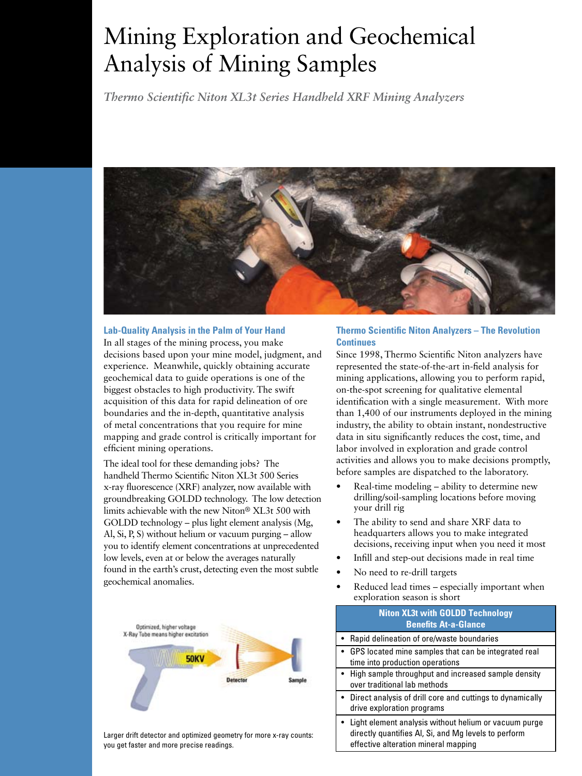# Mining Exploration and Geochemical Analysis of Mining Samples

*Thermo Scientific Niton XL3t Series Handheld XRF Mining Analyzers*



# **Lab-Quality Analysis in the Palm of Your Hand**

In all stages of the mining process, you make decisions based upon your mine model, judgment, and experience. Meanwhile, quickly obtaining accurate geochemical data to guide operations is one of the biggest obstacles to high productivity. The swift acquisition of this data for rapid delineation of ore boundaries and the in-depth, quantitative analysis of metal concentrations that you require for mine mapping and grade control is critically important for efficient mining operations.

The ideal tool for these demanding jobs? The handheld Thermo Scientific Niton XL3t 500 Series x-ray fluorescence (XRF) analyzer, now available with groundbreaking GOLDD technology. The low detection limits achievable with the new Niton® XL3t 500 with GOLDD technology – plus light element analysis (Mg, Al, Si, P, S) without helium or vacuum purging – allow you to identify element concentrations at unprecedented low levels, even at or below the averages naturally found in the earth's crust, detecting even the most subtle geochemical anomalies.



Larger drift detector and optimized geometry for more x-ray counts: you get faster and more precise readings.

## **Thermo Scientific Niton Analyzers – The Revolution Continues**

Since 1998, Thermo Scientific Niton analyzers have represented the state-of-the-art in-field analysis for mining applications, allowing you to perform rapid, on-the-spot screening for qualitative elemental identification with a single measurement. With more than 1,400 of our instruments deployed in the mining industry, the ability to obtain instant, nondestructive data in situ significantly reduces the cost, time, and labor involved in exploration and grade control activities and allows you to make decisions promptly, before samples are dispatched to the laboratory.

- Real-time modeling ability to determine new drilling/soil-sampling locations before moving your drill rig
- The ability to send and share XRF data to headquarters allows you to make integrated decisions, receiving input when you need it most
- Infill and step-out decisions made in real time
- No need to re-drill targets
- Reduced lead times especially important when exploration season is short

| <b>Niton XL3t with GOLDD Technology</b><br><b>Benefits At-a-Glance</b>                                                                                  |
|---------------------------------------------------------------------------------------------------------------------------------------------------------|
| • Rapid delineation of ore/waste boundaries                                                                                                             |
| • GPS located mine samples that can be integrated real<br>time into production operations                                                               |
| • High sample throughput and increased sample density<br>over traditional lab methods                                                                   |
| • Direct analysis of drill core and cuttings to dynamically<br>drive exploration programs                                                               |
| • Light element analysis without helium or vacuum purge<br>directly quantifies AI, Si, and Mg levels to perform<br>effective alteration mineral mapping |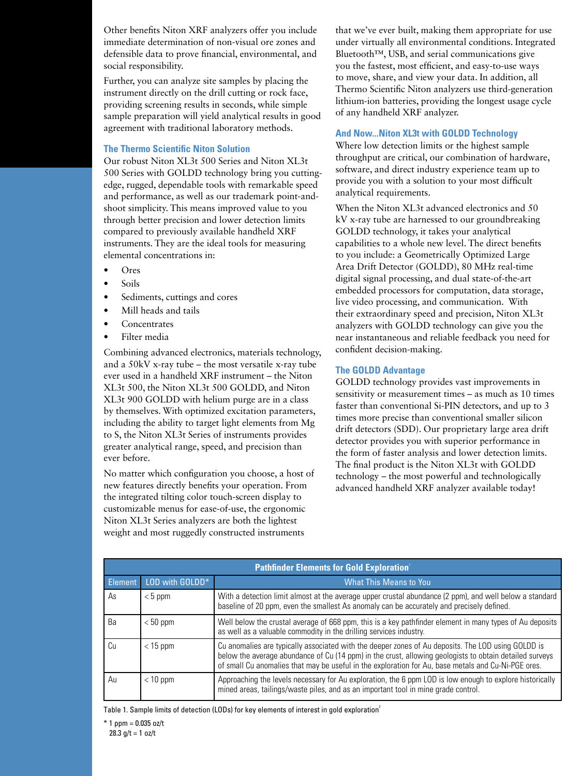Other benefits Niton XRF analyzers offer you include immediate determination of non-visual ore zones and defensible data to prove financial, environmental, and social responsibility.

Further, you can analyze site samples by placing the instrument directly on the drill cutting or rock face, providing screening results in seconds, while simple sample preparation will yield analytical results in good agreement with traditional laboratory methods.

#### **The Thermo Scientific Niton Solution**

Our robust Niton XL3t 500 Series and Niton XL3t 500 Series with GOLDD technology bring you cuttingedge, rugged, dependable tools with remarkable speed and performance, as well as our trademark point-andshoot simplicity. This means improved value to you through better precision and lower detection limits compared to previously available handheld XRF instruments. They are the ideal tools for measuring elemental concentrations in:

- • Ores
- Soils
- • Sediments, cuttings and cores
- Mill heads and tails
- **Concentrates**
- • Filter media

Combining advanced electronics, materials technology, and a 50kV x-ray tube – the most versatile x-ray tube ever used in a handheld XRF instrument – the Niton XL3t 500, the Niton XL3t 500 GOLDD, and Niton XL3t 900 GOLDD with helium purge are in a class by themselves. With optimized excitation parameters, including the ability to target light elements from Mg to S, the Niton XL3t Series of instruments provides greater analytical range, speed, and precision than ever before.

No matter which configuration you choose, a host of new features directly benefits your operation. From the integrated tilting color touch-screen display to customizable menus for ease-of-use, the ergonomic Niton XL3t Series analyzers are both the lightest weight and most ruggedly constructed instruments

that we've ever built, making them appropriate for use under virtually all environmental conditions. Integrated Bluetooth™, USB, and serial communications give you the fastest, most efficient, and easy-to-use ways to move, share, and view your data. In addition, all Thermo Scientific Niton analyzers use third-generation lithium-ion batteries, providing the longest usage cycle of any handheld XRF analyzer.

#### **And Now...Niton XL3t with GOLDD Technology**

Where low detection limits or the highest sample throughput are critical, our combination of hardware, software, and direct industry experience team up to provide you with a solution to your most difficult analytical requirements.

When the Niton XL3t advanced electronics and 50 kV x-ray tube are harnessed to our groundbreaking GOLDD technology, it takes your analytical capabilities to a whole new level. The direct benefits to you include: a Geometrically Optimized Large Area Drift Detector (GOLDD), 80 MHz real-time digital signal processing, and dual state-of-the-art embedded processors for computation, data storage, live video processing, and communication. With their extraordinary speed and precision, Niton XL3t analyzers with GOLDD technology can give you the near instantaneous and reliable feedback you need for confident decision-making.

#### **The GOLDD Advantage**

GOLDD technology provides vast improvements in sensitivity or measurement times – as much as 10 times faster than conventional Si-PIN detectors, and up to 3 times more precise than conventional smaller silicon drift detectors (SDD). Our proprietary large area drift detector provides you with superior performance in the form of faster analysis and lower detection limits. The final product is the Niton XL3t with GOLDD technology – the most powerful and technologically advanced handheld XRF analyzer available today!

| <b>Pathfinder Elements for Gold Exploration'</b> |                 |                                                                                                                                                                                                                                                                                                                      |  |  |
|--------------------------------------------------|-----------------|----------------------------------------------------------------------------------------------------------------------------------------------------------------------------------------------------------------------------------------------------------------------------------------------------------------------|--|--|
| <b>Element</b>                                   | LOD with GOLDD* | <b>What This Means to You</b>                                                                                                                                                                                                                                                                                        |  |  |
| As                                               | $< 5$ ppm       | With a detection limit almost at the average upper crustal abundance (2 ppm), and well below a standard<br>baseline of 20 ppm, even the smallest As anomaly can be accurately and precisely defined.                                                                                                                 |  |  |
| Вa                                               | $< 50$ ppm      | Well below the crustal average of 668 ppm, this is a key pathfinder element in many types of Au deposits<br>as well as a valuable commodity in the drilling services industry.                                                                                                                                       |  |  |
| Cп                                               | $<$ 15 ppm      | Cu anomalies are typically associated with the deeper zones of Au deposits. The LOD using GOLDD is<br>below the average abundance of Cu (14 ppm) in the crust, allowing geologists to obtain detailed surveys<br>of small Cu anomalies that may be useful in the exploration for Au, base metals and Cu-Ni-PGE ores. |  |  |
| Au                                               | $<$ 10 ppm      | Approaching the levels necessary for Au exploration, the 6 ppm LOD is low enough to explore historically<br>mined areas, tailings/waste piles, and as an important tool in mine grade control.                                                                                                                       |  |  |

Table 1. Sample limits of detection (LODs) for key elements of interest in gold exploration<sup>2</sup>

 $*$  1 ppm = 0.035 oz/t 28.3  $g/t = 1$  oz/t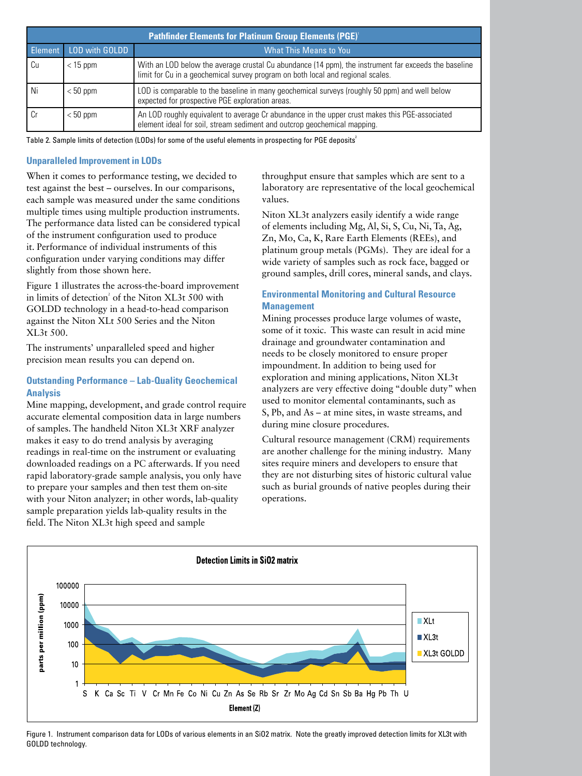| <b>Pathfinder Elements for Platinum Group Elements (PGE)'</b> |                |                                                                                                                                                                                         |  |  |
|---------------------------------------------------------------|----------------|-----------------------------------------------------------------------------------------------------------------------------------------------------------------------------------------|--|--|
| Element                                                       | LOD with GOLDD | <b>What This Means to You</b>                                                                                                                                                           |  |  |
| Cu                                                            | $<$ 15 ppm     | With an LOD below the average crustal Cu abundance (14 ppm), the instrument far exceeds the baseline<br>limit for Cu in a geochemical survey program on both local and regional scales. |  |  |
| Ni                                                            | $< 50$ ppm     | LOD is comparable to the baseline in many geochemical surveys (roughly 50 ppm) and well below<br>expected for prospective PGE exploration areas.                                        |  |  |
|                                                               | $< 50$ ppm     | An LOD roughly equivalent to average Cr abundance in the upper crust makes this PGE-associated<br>element ideal for soil, stream sediment and outcrop geochemical mapping.              |  |  |

Table 2. Sample limits of detection (LODs) for some of the useful elements in prospecting for PGE deposits<sup>2</sup>

#### **Unparalleled Improvement in LODs**

When it comes to performance testing, we decided to test against the best – ourselves. In our comparisons, each sample was measured under the same conditions multiple times using multiple production instruments. The performance data listed can be considered typical of the instrument configuration used to produce it. Performance of individual instruments of this configuration under varying conditions may differ slightly from those shown here.

Figure 1 illustrates the across-the-board improvement in limits of detection<sup>2</sup> of the Niton XL3t 500 with GOLDD technology in a head-to-head comparison against the Niton XLt 500 Series and the Niton XL3t 500.

The instruments' unparalleled speed and higher precision mean results you can depend on.

# **Outstanding Performance – Lab-Quality Geochemical Analysis**

Mine mapping, development, and grade control require accurate elemental composition data in large numbers of samples. The handheld Niton XL3t XRF analyzer makes it easy to do trend analysis by averaging readings in real-time on the instrument or evaluating downloaded readings on a PC afterwards. If you need rapid laboratory-grade sample analysis, you only have to prepare your samples and then test them on-site with your Niton analyzer; in other words, lab-quality sample preparation yields lab-quality results in the field. The Niton XL3t high speed and sample

throughput ensure that samples which are sent to a laboratory are representative of the local geochemical values.

Niton XL3t analyzers easily identify a wide range of elements including Mg, Al, Si, S, Cu, Ni, Ta, Ag, Zn, Mo, Ca, K, Rare Earth Elements (REEs), and platinum group metals (PGMs). They are ideal for a wide variety of samples such as rock face, bagged or ground samples, drill cores, mineral sands, and clays.

## **Environmental Monitoring and Cultural Resource Management**

Mining processes produce large volumes of waste, some of it toxic. This waste can result in acid mine drainage and groundwater contamination and needs to be closely monitored to ensure proper impoundment. In addition to being used for exploration and mining applications, Niton XL3t analyzers are very effective doing "double duty" when used to monitor elemental contaminants, such as S, Pb, and As – at mine sites, in waste streams, and during mine closure procedures.

Cultural resource management (CRM) requirements are another challenge for the mining industry. Many sites require miners and developers to ensure that they are not disturbing sites of historic cultural value such as burial grounds of native peoples during their operations.



Figure 1. Instrument comparison data for LODs of various elements in an SiO2 matrix. Note the greatly improved detection limits for XL3t with GOLDD technology.